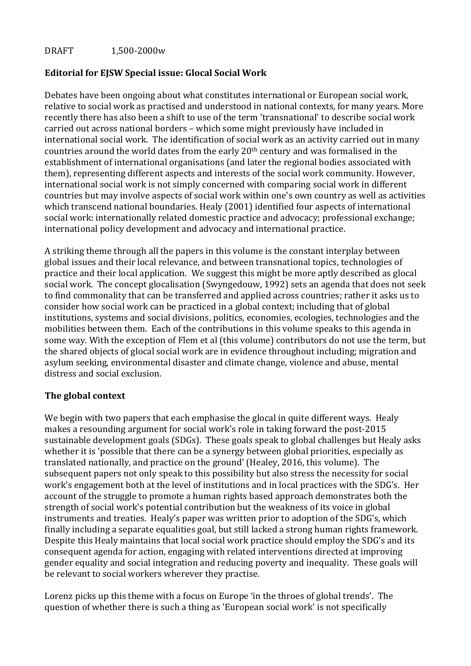# DRAFT 1,500-2000w

# **Editorial for EJSW Special issue: Glocal Social Work**

Debates have been ongoing about what constitutes international or European social work, relative to social work as practised and understood in national contexts, for many years. More recently there has also been a shift to use of the term 'transnational' to describe social work carried out across national borders – which some might previously have included in international social work. The identification of social work as an activity carried out in many countries around the world dates from the early 20<sup>th</sup> century and was formalised in the establishment of international organisations (and later the regional bodies associated with them), representing different aspects and interests of the social work community. However, international social work is not simply concerned with comparing social work in different countries but may involve aspects of social work within one's own country as well as activities which transcend national boundaries. Healy (2001) identified four aspects of international social work: internationally related domestic practice and advocacy; professional exchange; international policy development and advocacy and international practice.

A striking theme through all the papers in this volume is the constant interplay between global issues and their local relevance, and between transnational topics, technologies of practice and their local application. We suggest this might be more aptly described as glocal social work. The concept glocalisation (Swyngedouw, 1992) sets an agenda that does not seek to find commonality that can be transferred and applied across countries; rather it asks us to consider how social work can be practiced in a global context; including that of global institutions, systems and social divisions, politics, economies, ecologies, technologies and the mobilities between them. Each of the contributions in this volume speaks to this agenda in some way. With the exception of Flem et al (this volume) contributors do not use the term, but the shared objects of glocal social work are in evidence throughout including; migration and asylum seeking, environmental disaster and climate change, violence and abuse, mental distress and social exclusion.

### **The global context**

We begin with two papers that each emphasise the glocal in quite different ways. Healy makes a resounding argument for social work's role in taking forward the post-2015 sustainable development goals (SDGs). These goals speak to global challenges but Healy asks whether it is 'possible that there can be a synergy between global priorities, especially as translated nationally, and practice on the ground' (Healey, 2016, this volume). The subsequent papers not only speak to this possibility but also stress the necessity for social work's engagement both at the level of institutions and in local practices with the SDG's. Her account of the struggle to promote a human rights based approach demonstrates both the strength of social work's potential contribution but the weakness of its voice in global instruments and treaties. Healy's paper was written prior to adoption of the SDG's, which finally including a separate equalities goal, but still lacked a strong human rights framework. Despite this Healy maintains that local social work practice should employ the SDG's and its consequent agenda for action, engaging with related interventions directed at improving gender equality and social integration and reducing poverty and inequality. These goals will be relevant to social workers wherever they practise.

Lorenz picks up this theme with a focus on Europe 'in the throes of global trends'. The question of whether there is such a thing as 'European social work' is not specifically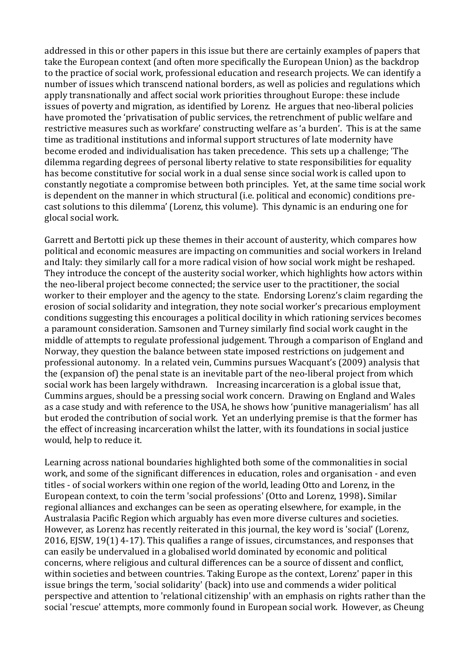addressed in this or other papers in this issue but there are certainly examples of papers that take the European context (and often more specifically the European Union) as the backdrop to the practice of social work, professional education and research projects. We can identify a number of issues which transcend national borders, as well as policies and regulations which apply transnationally and affect social work priorities throughout Europe: these include issues of poverty and migration, as identified by Lorenz. He argues that neo-liberal policies have promoted the 'privatisation of public services, the retrenchment of public welfare and restrictive measures such as workfare' constructing welfare as 'a burden'. This is at the same time as traditional institutions and informal support structures of late modernity have become eroded and individualisation has taken precedence. This sets up a challenge; 'The dilemma regarding degrees of personal liberty relative to state responsibilities for equality has become constitutive for social work in a dual sense since social work is called upon to constantly negotiate a compromise between both principles. Yet, at the same time social work is dependent on the manner in which structural (i.e. political and economic) conditions precast solutions to this dilemma' (Lorenz, this volume). This dynamic is an enduring one for glocal social work.

Garrett and Bertotti pick up these themes in their account of austerity, which compares how political and economic measures are impacting on communities and social workers in Ireland and Italy: they similarly call for a more radical vision of how social work might be reshaped. They introduce the concept of the austerity social worker, which highlights how actors within the neo-liberal project become connected; the service user to the practitioner, the social worker to their employer and the agency to the state. Endorsing Lorenz's claim regarding the erosion of social solidarity and integration, they note social worker's precarious employment conditions suggesting this encourages a political docility in which rationing services becomes a paramount consideration. Samsonen and Turney similarly find social work caught in the middle of attempts to regulate professional judgement. Through a comparison of England and Norway, they question the balance between state imposed restrictions on judgement and professional autonomy. In a related vein, Cummins pursues Wacquant's (2009) analysis that the (expansion of) the penal state is an inevitable part of the neo-liberal project from which social work has been largely withdrawn. Increasing incarceration is a global issue that, Cummins argues, should be a pressing social work concern. Drawing on England and Wales as a case study and with reference to the USA, he shows how 'punitive managerialism' has all but eroded the contribution of social work. Yet an underlying premise is that the former has the effect of increasing incarceration whilst the latter, with its foundations in social justice would, help to reduce it.

Learning across national boundaries highlighted both some of the commonalities in social work, and some of the significant differences in education, roles and organisation - and even titles - of social workers within one region of the world, leading Otto and Lorenz, in the European context, to coin the term 'social professions' (Otto and Lorenz, 1998)**.** Similar regional alliances and exchanges can be seen as operating elsewhere, for example, in the Australasia Pacific Region which arguably has even more diverse cultures and societies. However, as Lorenz has recently reiterated in this journal, the key word is 'social' (Lorenz, 2016, EJSW, 19(1) 4-17). This qualifies a range of issues, circumstances, and responses that can easily be undervalued in a globalised world dominated by economic and political concerns, where religious and cultural differences can be a source of dissent and conflict, within societies and between countries. Taking Europe as the context, Lorenz' paper in this issue brings the term, 'social solidarity' (back) into use and commends a wider political perspective and attention to 'relational citizenship' with an emphasis on rights rather than the social 'rescue' attempts, more commonly found in European social work. However, as Cheung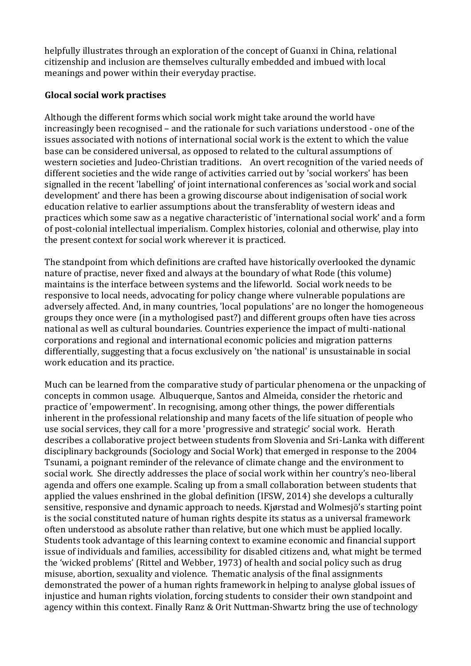helpfully illustrates through an exploration of the concept of Guanxi in China, relational citizenship and inclusion are themselves culturally embedded and imbued with local meanings and power within their everyday practise.

# **Glocal social work practises**

Although the different forms which social work might take around the world have increasingly been recognised – and the rationale for such variations understood - one of the issues associated with notions of international social work is the extent to which the value base can be considered universal, as opposed to related to the cultural assumptions of western societies and Judeo-Christian traditions. An overt recognition of the varied needs of different societies and the wide range of activities carried out by 'social workers' has been signalled in the recent 'labelling' of joint international conferences as 'social work and social development' and there has been a growing discourse about indigenisation of social work education relative to earlier assumptions about the transferablity of western ideas and practices which some saw as a negative characteristic of 'international social work' and a form of post-colonial intellectual imperialism. Complex histories, colonial and otherwise, play into the present context for social work wherever it is practiced.

The standpoint from which definitions are crafted have historically overlooked the dynamic nature of practise, never fixed and always at the boundary of what Rode (this volume) maintains is the interface between systems and the lifeworld. Social work needs to be responsive to local needs, advocating for policy change where vulnerable populations are adversely affected. And, in many countries, 'local populations' are no longer the homogeneous groups they once were (in a mythologised past?) and different groups often have ties across national as well as cultural boundaries. Countries experience the impact of multi-national corporations and regional and international economic policies and migration patterns differentially, suggesting that a focus exclusively on 'the national' is unsustainable in social work education and its practice.

Much can be learned from the comparative study of particular phenomena or the unpacking of concepts in common usage. Albuquerque, Santos and Almeida, consider the rhetoric and practice of 'empowerment'. In recognising, among other things, the power differentials inherent in the professional relationship and many facets of the life situation of people who use social services, they call for a more 'progressive and strategic' social work. Herath describes a collaborative project between students from Slovenia and Sri-Lanka with different disciplinary backgrounds (Sociology and Social Work) that emerged in response to the 2004 Tsunami, a poignant reminder of the relevance of climate change and the environment to social work. She directly addresses the place of social work within her country's neo-liberal agenda and offers one example. Scaling up from a small collaboration between students that applied the values enshrined in the global definition (IFSW, 2014) she develops a culturally sensitive, responsive and dynamic approach to needs. Kjørstad and Wolmesjö's starting point is the social constituted nature of human rights despite its status as a universal framework often understood as absolute rather than relative, but one which must be applied locally. Students took advantage of this learning context to examine economic and financial support issue of individuals and families, accessibility for disabled citizens and, what might be termed the 'wicked problems' (Rittel and Webber, 1973) of health and social policy such as drug misuse, abortion, sexuality and violence. Thematic analysis of the final assignments demonstrated the power of a human rights framework in helping to analyse global issues of injustice and human rights violation, forcing students to consider their own standpoint and agency within this context. Finally Ranz & Orit Nuttman-Shwartz bring the use of technology